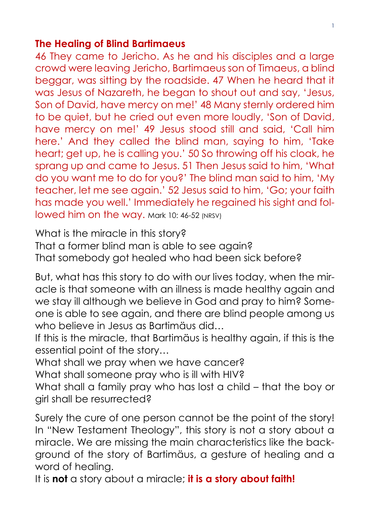#### **The Healing of Blind Bartimaeus**

46 They came to Jericho. As he and his disciples and a large crowd were leaving Jericho, Bartimaeus son of Timaeus, a blind beggar, was sitting by the roadside. 47 When he heard that it was Jesus of Nazareth, he began to shout out and say, 'Jesus, Son of David, have mercy on me!' 48 Many sternly ordered him to be quiet, but he cried out even more loudly, 'Son of David, have mercy on me!' 49 Jesus stood still and said, 'Call him here.' And they called the blind man, saying to him, 'Take heart; get up, he is calling you.' 50 So throwing off his cloak, he sprang up and came to Jesus. 51 Then Jesus said to him, 'What do you want me to do for you?' The blind man said to him, 'My teacher, let me see again.' 52 Jesus said to him, 'Go; your faith has made you well.' Immediately he regained his sight and followed him on the way. Mark 10: 46-52 (NRSV)

What is the miracle in this story?

That a former blind man is able to see again? That somebody got healed who had been sick before?

But, what has this story to do with our lives today, when the miracle is that someone with an illness is made healthy again and we stay ill although we believe in God and pray to him? Someone is able to see again, and there are blind people among us who believe in Jesus as Bartimäus did…

If this is the miracle, that Bartimäus is healthy again, if this is the essential point of the story…

What shall we pray when we have cancer?

What shall someone pray who is ill with HIV?

What shall a family pray who has lost a child – that the boy or girl shall be resurrected?

Surely the cure of one person cannot be the point of the story! In "New Testament Theology", this story is not a story about a miracle. We are missing the main characteristics like the background of the story of Bartimäus, a gesture of healing and a word of healing.

It is **not** a story about a miracle; **it is a story about faith!**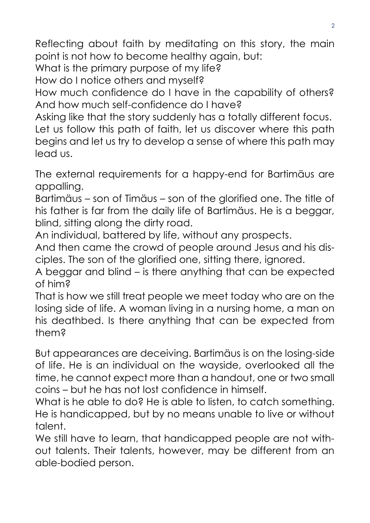Reflecting about faith by meditating on this story, the main point is not how to become healthy again, but:

What is the primary purpose of my life?

How do I notice others and myself?

How much confidence do I have in the capability of others? And how much self-confidence do I have?

Asking like that the story suddenly has a totally different focus. Let us follow this path of faith, let us discover where this path begins and let us try to develop a sense of where this path may lead us.

The external requirements for a happy-end for Bartimäus are appalling.

Bartimäus – son of Timäus – son of the glorified one. The title of his father is far from the daily life of Bartimäus. He is a beggar, blind, sitting along the dirty road.

An individual, battered by life, without any prospects.

And then came the crowd of people around Jesus and his disciples. The son of the glorified one, sitting there, ignored.

A beggar and blind – is there anything that can be expected of him?

That is how we still treat people we meet today who are on the losing side of life. A woman living in a nursing home, a man on his deathbed. Is there anything that can be expected from them?

But appearances are deceiving. Bartimäus is on the losing-side of life. He is an individual on the wayside, overlooked all the time, he cannot expect more than a handout, one or two small coins – but he has not lost confidence in himself.

What is he able to do? He is able to listen, to catch something. He is handicapped, but by no means unable to live or without talent.

We still have to learn, that handicapped people are not without talents. Their talents, however, may be different from an able-bodied person.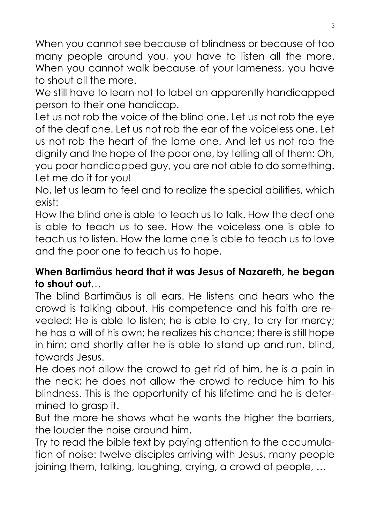When you cannot see because of blindness or because of too many people around you, you have to listen all the more. When you cannot walk because of your lameness, you have to shout all the more.

We still have to learn not to label an apparently handicapped person to their one handicap.

Let us not rob the voice of the blind one. Let us not rob the eye of the deaf one. Let us not rob the ear of the voiceless one. Let us not rob the heart of the lame one. And let us not rob the dignity and the hope of the poor one, by telling all of them: Oh, you poor handicapped guy, you are not able to do something. Let me do it for you!

No, let us learn to feel and to realize the special abilities, which exist:

How the blind one is able to teach us to talk. How the deaf one is able to teach us to see. How the voiceless one is able to teach us to listen. How the lame one is able to teach us to love and the poor one to teach us to hope.

## **When Bartimäus heard that it was Jesus of Nazareth, he began to shout out**…

The blind Bartimäus is all ears. He listens and hears who the crowd is talking about. His competence and his faith are revealed: He is able to listen; he is able to cry, to cry for mercy; he has a will of his own; he realizes his chance; there is still hope in him; and shortly after he is able to stand up and run, blind, towards Jesus.

He does not allow the crowd to get rid of him, he is a pain in the neck; he does not allow the crowd to reduce him to his blindness. This is the opportunity of his lifetime and he is determined to grasp it.

But the more he shows what he wants the higher the barriers, the louder the noise around him.

Try to read the bible text by paying attention to the accumulation of noise: twelve disciples arriving with Jesus, many people joining them, talking, laughing, crying, a crowd of people, …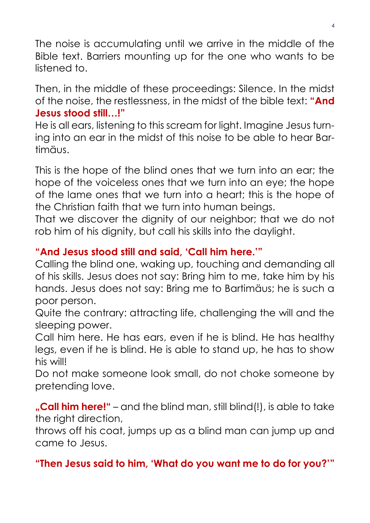The noise is accumulating until we arrive in the middle of the Bible text. Barriers mounting up for the one who wants to be listened to.

Then, in the middle of these proceedings: Silence. In the midst of the noise, the restlessness, in the midst of the bible text: **"And Jesus stood still…!"**

He is all ears, listening to this scream for light. Imagine Jesus turning into an ear in the midst of this noise to be able to hear Bartimäus.

This is the hope of the blind ones that we turn into an ear; the hope of the voiceless ones that we turn into an eye; the hope of the lame ones that we turn into a heart; this is the hope of the Christian faith that we turn into human beings.

That we discover the dignity of our neighbor; that we do not rob him of his dignity, but call his skills into the daylight.

# **"And Jesus stood still and said, 'Call him here.'"**

Calling the blind one, waking up, touching and demanding all of his skills. Jesus does not say: Bring him to me, take him by his hands. Jesus does not say: Bring me to Bartimäus; he is such a poor person.

Quite the contrary: attracting life, challenging the will and the sleeping power.

Call him here. He has ears, even if he is blind. He has healthy legs, even if he is blind. He is able to stand up, he has to show his will!

Do not make someone look small, do not choke someone by pretending love.

**"Call him here!"** – and the blind man, still blind(!), is able to take the right direction,

throws off his coat, jumps up as a blind man can jump up and came to Jesus.

**"Then Jesus said to him, 'What do you want me to do for you?'"**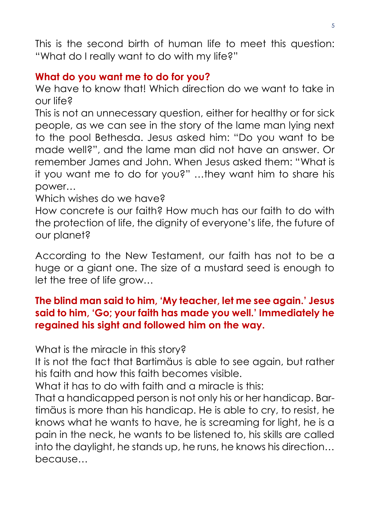This is the second birth of human life to meet this question: "What do I really want to do with my life?"

## **What do you want me to do for you?**

We have to know that! Which direction do we want to take in our life?

This is not an unnecessary question, either for healthy or for sick people, as we can see in the story of the lame man lying next to the pool Bethesda. Jesus asked him: "Do you want to be made well?", and the lame man did not have an answer. Or remember James and John. When Jesus asked them: "What is it you want me to do for you?" …they want him to share his power…

Which wishes do we have?

How concrete is our faith? How much has our faith to do with the protection of life, the dignity of everyone's life, the future of our planet?

According to the New Testament, our faith has not to be a huge or a giant one. The size of a mustard seed is enough to let the tree of life grow…

## **The blind man said to him, 'My teacher, let me see again.' Jesus said to him, 'Go; your faith has made you well.' Immediately he regained his sight and followed him on the way.**

What is the miracle in this story?

It is not the fact that Bartimäus is able to see again, but rather his faith and how this faith becomes visible.

What it has to do with faith and a miracle is this:

That a handicapped person is not only his or her handicap. Bartimäus is more than his handicap. He is able to cry, to resist, he knows what he wants to have, he is screaming for light, he is a pain in the neck, he wants to be listened to, his skills are called into the daylight, he stands up, he runs, he knows his direction… because…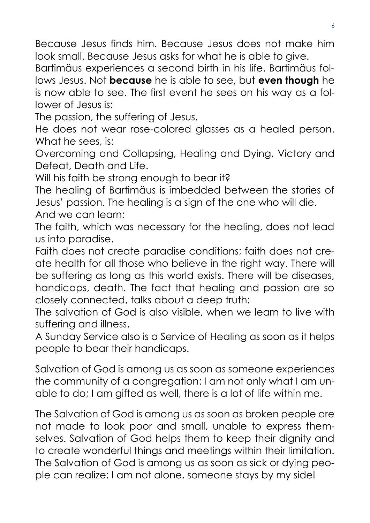Because Jesus finds him. Because Jesus does not make him look small. Because Jesus asks for what he is able to give.

Bartimäus experiences a second birth in his life. Bartimäus follows Jesus. Not **because** he is able to see, but **even though** he is now able to see. The first event he sees on his way as a follower of Jesus is:

The passion, the suffering of Jesus.

He does not wear rose-colored glasses as a healed person. What he sees, is:

Overcoming and Collapsing, Healing and Dying, Victory and Defeat, Death and Life.

Will his faith be strong enough to bear it?

The healing of Bartimäus is imbedded between the stories of Jesus' passion. The healing is a sign of the one who will die.

And we can learn:

The faith, which was necessary for the healing, does not lead us into paradise.

Faith does not create paradise conditions; faith does not create health for all those who believe in the right way. There will be suffering as long as this world exists. There will be diseases, handicaps, death. The fact that healing and passion are so closely connected, talks about a deep truth:

The salvation of God is also visible, when we learn to live with suffering and illness.

A Sunday Service also is a Service of Healing as soon as it helps people to bear their handicaps.

Salvation of God is among us as soon as someone experiences the community of a congregation: I am not only what I am unable to do; I am gifted as well, there is a lot of life within me.

The Salvation of God is among us as soon as broken people are not made to look poor and small, unable to express themselves. Salvation of God helps them to keep their dignity and to create wonderful things and meetings within their limitation. The Salvation of God is among us as soon as sick or dying people can realize: I am not alone, someone stays by my side!